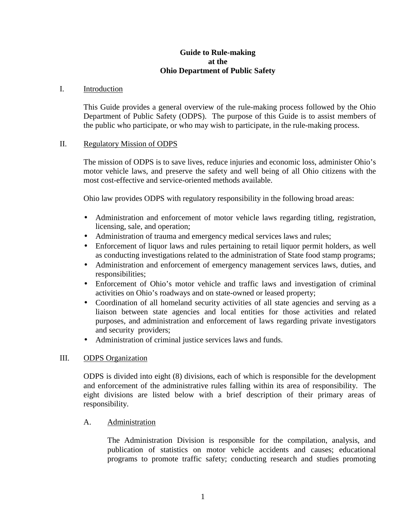### **Guide to Rule-making at the Ohio Department of Public Safety**

#### I. Introduction

This Guide provides a general overview of the rule-making process followed by the Ohio Department of Public Safety (ODPS). The purpose of this Guide is to assist members of the public who participate, or who may wish to participate, in the rule-making process.

#### II. Regulatory Mission of ODPS

The mission of ODPS is to save lives, reduce injuries and economic loss, administer Ohio's motor vehicle laws, and preserve the safety and well being of all Ohio citizens with the most cost-effective and service-oriented methods available.

Ohio law provides ODPS with regulatory responsibility in the following broad areas:

- Administration and enforcement of motor vehicle laws regarding titling, registration, licensing, sale, and operation;
- Administration of trauma and emergency medical services laws and rules;
- Enforcement of liquor laws and rules pertaining to retail liquor permit holders, as well as conducting investigations related to the administration of State food stamp programs;
- Administration and enforcement of emergency management services laws, duties, and responsibilities;
- Enforcement of Ohio's motor vehicle and traffic laws and investigation of criminal activities on Ohio's roadways and on state-owned or leased property;
- Coordination of all homeland security activities of all state agencies and serving as a liaison between state agencies and local entities for those activities and related purposes, and administration and enforcement of laws regarding private investigators and security providers;
- Administration of criminal justice services laws and funds.

### III. ODPS Organization

ODPS is divided into eight (8) divisions, each of which is responsible for the development and enforcement of the administrative rules falling within its area of responsibility. The eight divisions are listed below with a brief description of their primary areas of responsibility.

### A. Administration

The Administration Division is responsible for the compilation, analysis, and publication of statistics on motor vehicle accidents and causes; educational programs to promote traffic safety; conducting research and studies promoting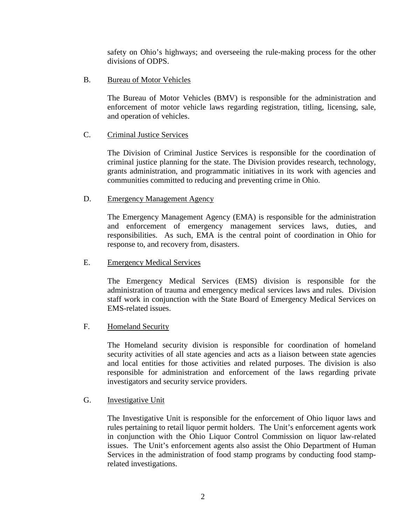safety on Ohio's highways; and overseeing the rule-making process for the other divisions of ODPS.

B. Bureau of Motor Vehicles

The Bureau of Motor Vehicles (BMV) is responsible for the administration and enforcement of motor vehicle laws regarding registration, titling, licensing, sale, and operation of vehicles.

# C. Criminal Justice Services

The Division of Criminal Justice Services is responsible for the coordination of criminal justice planning for the state. The Division provides research, technology, grants administration, and programmatic initiatives in its work with agencies and communities committed to reducing and preventing crime in Ohio.

## D. Emergency Management Agency

The Emergency Management Agency (EMA) is responsible for the administration and enforcement of emergency management services laws, duties, and responsibilities. As such, EMA is the central point of coordination in Ohio for response to, and recovery from, disasters.

### E. Emergency Medical Services

The Emergency Medical Services (EMS) division is responsible for the administration of trauma and emergency medical services laws and rules. Division staff work in conjunction with the State Board of Emergency Medical Services on EMS-related issues.

### F. Homeland Security

The Homeland security division is responsible for coordination of homeland security activities of all state agencies and acts as a liaison between state agencies and local entities for those activities and related purposes. The division is also responsible for administration and enforcement of the laws regarding private investigators and security service providers.

### G. Investigative Unit

The Investigative Unit is responsible for the enforcement of Ohio liquor laws and rules pertaining to retail liquor permit holders. The Unit's enforcement agents work in conjunction with the Ohio Liquor Control Commission on liquor law-related issues. The Unit's enforcement agents also assist the Ohio Department of Human Services in the administration of food stamp programs by conducting food stamprelated investigations.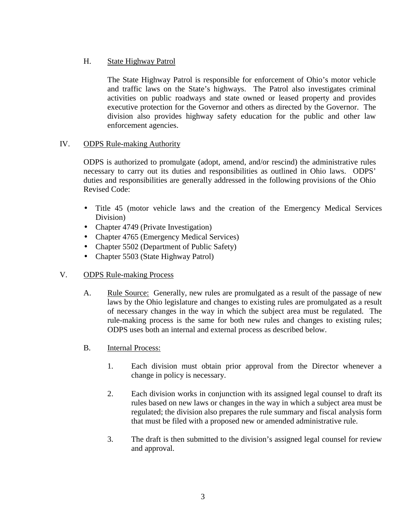# H. State Highway Patrol

The State Highway Patrol is responsible for enforcement of Ohio's motor vehicle and traffic laws on the State's highways. The Patrol also investigates criminal activities on public roadways and state owned or leased property and provides executive protection for the Governor and others as directed by the Governor. The division also provides highway safety education for the public and other law enforcement agencies.

# IV. ODPS Rule-making Authority

ODPS is authorized to promulgate (adopt, amend, and/or rescind) the administrative rules necessary to carry out its duties and responsibilities as outlined in Ohio laws. ODPS' duties and responsibilities are generally addressed in the following provisions of the Ohio Revised Code:

- Title 45 (motor vehicle laws and the creation of the Emergency Medical Services Division)
- Chapter 4749 (Private Investigation)
- Chapter 4765 (Emergency Medical Services)
- Chapter 5502 (Department of Public Safety)
- Chapter 5503 (State Highway Patrol)
- V. ODPS Rule-making Process
	- A. Rule Source: Generally, new rules are promulgated as a result of the passage of new laws by the Ohio legislature and changes to existing rules are promulgated as a result of necessary changes in the way in which the subject area must be regulated. The rule-making process is the same for both new rules and changes to existing rules; ODPS uses both an internal and external process as described below.
	- B. Internal Process:
		- 1. Each division must obtain prior approval from the Director whenever a change in policy is necessary.
		- 2. Each division works in conjunction with its assigned legal counsel to draft its rules based on new laws or changes in the way in which a subject area must be regulated; the division also prepares the rule summary and fiscal analysis form that must be filed with a proposed new or amended administrative rule.
		- 3. The draft is then submitted to the division's assigned legal counsel for review and approval.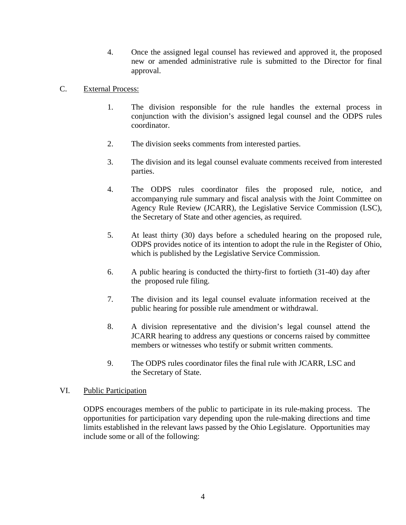4. Once the assigned legal counsel has reviewed and approved it, the proposed new or amended administrative rule is submitted to the Director for final approval.

## C. External Process:

- 1. The division responsible for the rule handles the external process in conjunction with the division's assigned legal counsel and the ODPS rules coordinator.
- 2. The division seeks comments from interested parties.
- 3. The division and its legal counsel evaluate comments received from interested parties.
- 4. The ODPS rules coordinator files the proposed rule, notice, and accompanying rule summary and fiscal analysis with the Joint Committee on Agency Rule Review (JCARR), the Legislative Service Commission (LSC), the Secretary of State and other agencies, as required.
- 5. At least thirty (30) days before a scheduled hearing on the proposed rule, ODPS provides notice of its intention to adopt the rule in the Register of Ohio, which is published by the Legislative Service Commission.
- 6. A public hearing is conducted the thirty-first to fortieth (31-40) day after the proposed rule filing.
- 7. The division and its legal counsel evaluate information received at the public hearing for possible rule amendment or withdrawal.
- 8. A division representative and the division's legal counsel attend the JCARR hearing to address any questions or concerns raised by committee members or witnesses who testify or submit written comments.
- 9. The ODPS rules coordinator files the final rule with JCARR, LSC and the Secretary of State.

### VI. Public Participation

ODPS encourages members of the public to participate in its rule-making process. The opportunities for participation vary depending upon the rule-making directions and time limits established in the relevant laws passed by the Ohio Legislature. Opportunities may include some or all of the following: